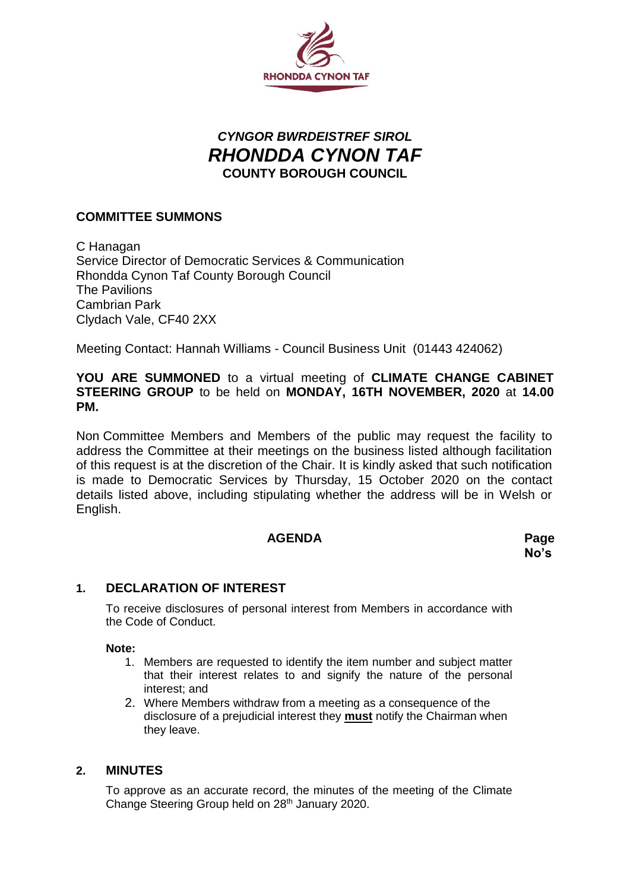

# *CYNGOR BWRDEISTREF SIROL RHONDDA CYNON TAF* **COUNTY BOROUGH COUNCIL**

## **COMMITTEE SUMMONS**

C Hanagan Service Director of Democratic Services & Communication Rhondda Cynon Taf County Borough Council The Pavilions Cambrian Park Clydach Vale, CF40 2XX

Meeting Contact: Hannah Williams - Council Business Unit (01443 424062)

## **YOU ARE SUMMONED** to a virtual meeting of **CLIMATE CHANGE CABINET STEERING GROUP** to be held on **MONDAY, 16TH NOVEMBER, 2020** at **14.00 PM.**

Non Committee Members and Members of the public may request the facility to address the Committee at their meetings on the business listed although facilitation of this request is at the discretion of the Chair. It is kindly asked that such notification is made to Democratic Services by Thursday, 15 October 2020 on the contact details listed above, including stipulating whether the address will be in Welsh or English.

# **AGENDA Page**

**No's**

## **1. DECLARATION OF INTEREST**

To receive disclosures of personal interest from Members in accordance with the Code of Conduct.

### **Note:**

- 1. Members are requested to identify the item number and subject matter that their interest relates to and signify the nature of the personal interest; and
- 2. Where Members withdraw from a meeting as a consequence of the disclosure of a prejudicial interest they **must** notify the Chairman when they leave.

### **2. MINUTES**

To approve as an accurate record, the minutes of the meeting of the Climate Change Steering Group held on 28<sup>th</sup> January 2020.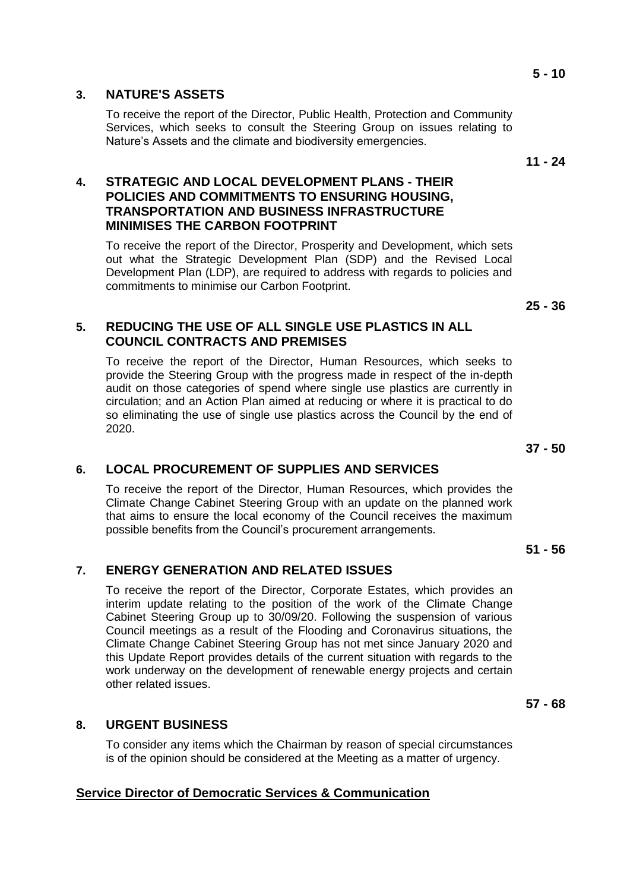### **3. NATURE'S ASSETS**

To receive the report of the Director, Public Health, Protection and Community Services, which seeks to consult the Steering Group on issues relating to Nature's Assets and the climate and biodiversity emergencies.

**11 - 24**

## **4. STRATEGIC AND LOCAL DEVELOPMENT PLANS - THEIR POLICIES AND COMMITMENTS TO ENSURING HOUSING, TRANSPORTATION AND BUSINESS INFRASTRUCTURE MINIMISES THE CARBON FOOTPRINT**

To receive the report of the Director, Prosperity and Development, which sets out what the Strategic Development Plan (SDP) and the Revised Local Development Plan (LDP), are required to address with regards to policies and commitments to minimise our Carbon Footprint.

**25 - 36**

## **5. REDUCING THE USE OF ALL SINGLE USE PLASTICS IN ALL COUNCIL CONTRACTS AND PREMISES**

To receive the report of the Director, Human Resources, which seeks to provide the Steering Group with the progress made in respect of the in-depth audit on those categories of spend where single use plastics are currently in circulation; and an Action Plan aimed at reducing or where it is practical to do so eliminating the use of single use plastics across the Council by the end of 2020.

**37 - 50**

## **6. LOCAL PROCUREMENT OF SUPPLIES AND SERVICES**

To receive the report of the Director, Human Resources, which provides the Climate Change Cabinet Steering Group with an update on the planned work that aims to ensure the local economy of the Council receives the maximum possible benefits from the Council's procurement arrangements.

**51 - 56**

## **7. ENERGY GENERATION AND RELATED ISSUES**

To receive the report of the Director, Corporate Estates, which provides an interim update relating to the position of the work of the Climate Change Cabinet Steering Group up to 30/09/20. Following the suspension of various Council meetings as a result of the Flooding and Coronavirus situations, the Climate Change Cabinet Steering Group has not met since January 2020 and this Update Report provides details of the current situation with regards to the work underway on the development of renewable energy projects and certain other related issues.

## **8. URGENT BUSINESS**

To consider any items which the Chairman by reason of special circumstances is of the opinion should be considered at the Meeting as a matter of urgency.

## **Service Director of Democratic Services & Communication**

**57 - 68**